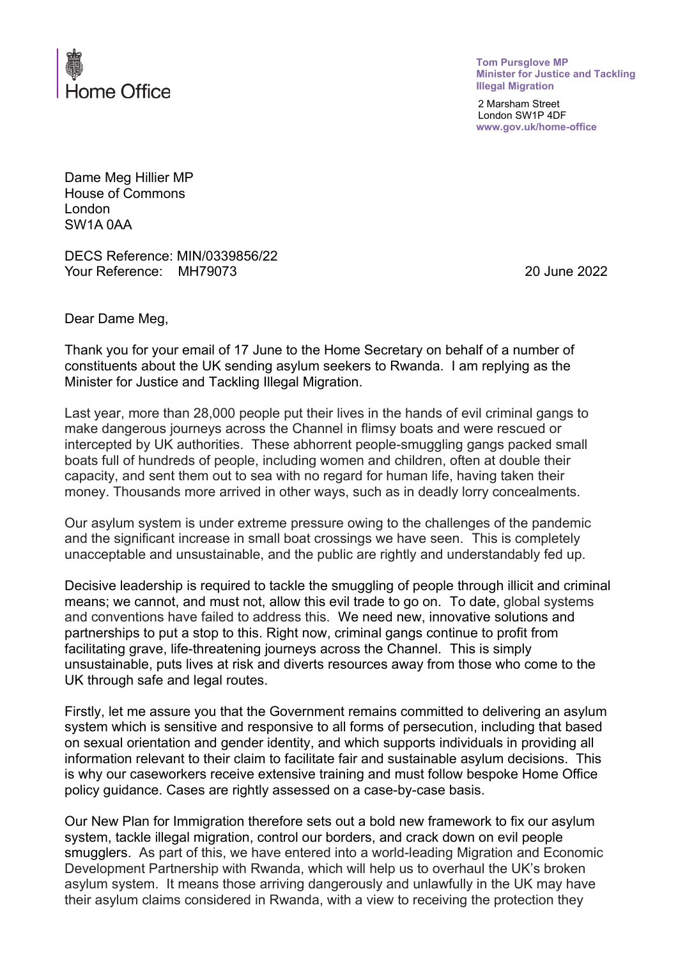

**Tom Pursglove MP Minister for Justice and Tackling Illegal Migration**

2 Marsham Street London SW1P 4DF **www.gov.uk/home-office**

Dame Meg Hillier MP House of Commons London SW1A 0AA

DECS Reference: MIN/0339856/22 Your Reference: MH79073 20 June 2022

Dear Dame Meg,

Thank you for your email of 17 June to the Home Secretary on behalf of a number of constituents about the UK sending asylum seekers to Rwanda. I am replying as the Minister for Justice and Tackling Illegal Migration.

Last year, more than 28,000 people put their lives in the hands of evil criminal gangs to make dangerous journeys across the Channel in flimsy boats and were rescued or intercepted by UK authorities. These abhorrent people-smuggling gangs packed small boats full of hundreds of people, including women and children, often at double their capacity, and sent them out to sea with no regard for human life, having taken their money. Thousands more arrived in other ways, such as in deadly lorry concealments.

Our asylum system is under extreme pressure owing to the challenges of the pandemic and the significant increase in small boat crossings we have seen. This is completely unacceptable and unsustainable, and the public are rightly and understandably fed up.

Decisive leadership is required to tackle the smuggling of people through illicit and criminal means; we cannot, and must not, allow this evil trade to go on. To date, global systems and conventions have failed to address this. We need new, innovative solutions and partnerships to put a stop to this. Right now, criminal gangs continue to profit from facilitating grave, life-threatening journeys across the Channel. This is simply unsustainable, puts lives at risk and diverts resources away from those who come to the UK through safe and legal routes.

Firstly, let me assure you that the Government remains committed to delivering an asylum system which is sensitive and responsive to all forms of persecution, including that based on sexual orientation and gender identity, and which supports individuals in providing all information relevant to their claim to facilitate fair and sustainable asylum decisions. This is why our caseworkers receive extensive training and must follow bespoke Home Office policy guidance. Cases are rightly assessed on a case-by-case basis.

Our New Plan for Immigration therefore sets out a bold new framework to fix our asylum system, tackle illegal migration, control our borders, and crack down on evil people smugglers. As part of this, we have entered into a world-leading Migration and Economic Development Partnership with Rwanda, which will help us to overhaul the UK's broken asylum system. It means those arriving dangerously and unlawfully in the UK may have their asylum claims considered in Rwanda, with a view to receiving the protection they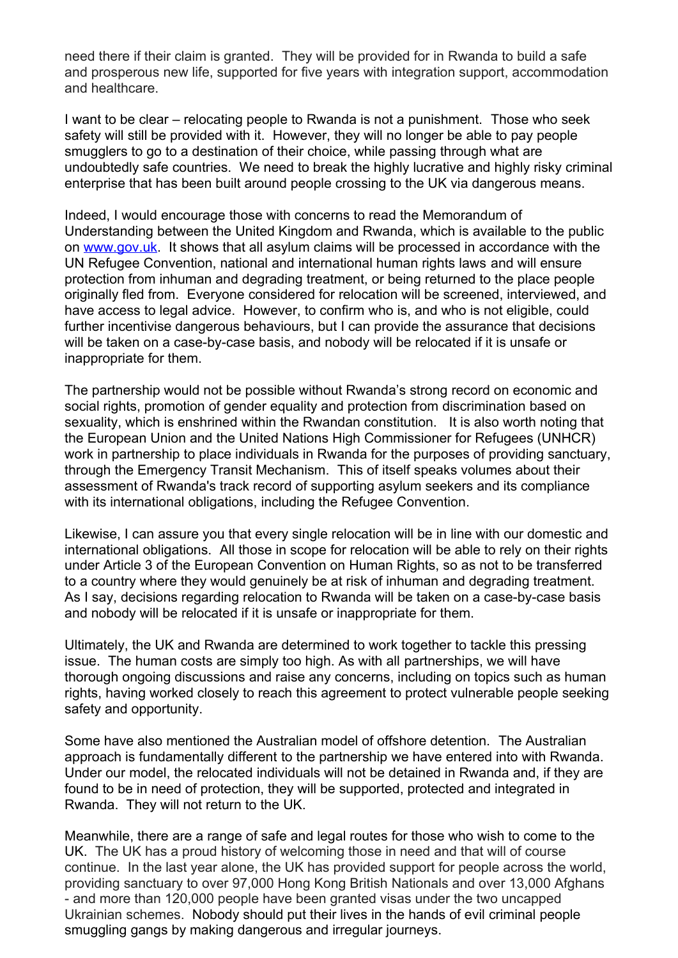need there if their claim is granted. They will be provided for in Rwanda to build a safe and prosperous new life, supported for five years with integration support, accommodation and healthcare.

I want to be clear – relocating people to Rwanda is not a punishment. Those who seek safety will still be provided with it. However, they will no longer be able to pay people smugglers to go to a destination of their choice, while passing through what are undoubtedly safe countries. We need to break the highly lucrative and highly risky criminal enterprise that has been built around people crossing to the UK via dangerous means.

Indeed, I would encourage those with concerns to read the Memorandum of Understanding between the United Kingdom and Rwanda, which is available to the public on [www.gov.uk](https://gbr01.safelinks.protection.outlook.com/?url=http%3A%2F%2Fwww.gov.uk%2F&data=05%7C01%7CCorrespondence.TomPursglove@homeoffice.gov.uk%7Cfa6c16267d184ce92cdb08da35d2f894%7Cf24d93ecb2914192a08af182245945c2%7C0%7C0%7C637881477473948350%7CUnknown%7CTWFpbGZsb3d8eyJWIjoiMC4wLjAwMDAiLCJQIjoiV2luMzIiLCJBTiI6Ik1haWwiLCJXVCI6Mn0%3D%7C3000%7C%7C%7C&sdata=1VbfwRMQrzxpeKLIyCzdlNIT2X9W7RbE1WpbZT236fs%3D&reserved=0). It shows that all asylum claims will be processed in accordance with the UN Refugee Convention, national and international human rights laws and will ensure protection from inhuman and degrading treatment, or being returned to the place people originally fled from. Everyone considered for relocation will be screened, interviewed, and have access to legal advice. However, to confirm who is, and who is not eligible, could further incentivise dangerous behaviours, but I can provide the assurance that decisions will be taken on a case-by-case basis, and nobody will be relocated if it is unsafe or inappropriate for them.

The partnership would not be possible without Rwanda's strong record on economic and social rights, promotion of gender equality and protection from discrimination based on sexuality, which is enshrined within the Rwandan constitution. It is also worth noting that the European Union and the United Nations High Commissioner for Refugees (UNHCR) work in partnership to place individuals in Rwanda for the purposes of providing sanctuary, through the Emergency Transit Mechanism. This of itself speaks volumes about their assessment of Rwanda's track record of supporting asylum seekers and its compliance with its international obligations, including the Refugee Convention.

Likewise, I can assure you that every single relocation will be in line with our domestic and international obligations. All those in scope for relocation will be able to rely on their rights under Article 3 of the European Convention on Human Rights, so as not to be transferred to a country where they would genuinely be at risk of inhuman and degrading treatment. As I say, decisions regarding relocation to Rwanda will be taken on a case-by-case basis and nobody will be relocated if it is unsafe or inappropriate for them.

Ultimately, the UK and Rwanda are determined to work together to tackle this pressing issue. The human costs are simply too high. As with all partnerships, we will have thorough ongoing discussions and raise any concerns, including on topics such as human rights, having worked closely to reach this agreement to protect vulnerable people seeking safety and opportunity.

Some have also mentioned the Australian model of offshore detention. The Australian approach is fundamentally different to the partnership we have entered into with Rwanda. Under our model, the relocated individuals will not be detained in Rwanda and, if they are found to be in need of protection, they will be supported, protected and integrated in Rwanda. They will not return to the UK.

Meanwhile, there are a range of safe and legal routes for those who wish to come to the UK. The UK has a proud history of welcoming those in need and that will of course continue. In the last year alone, the UK has provided support for people across the world, providing sanctuary to over 97,000 Hong Kong British Nationals and over 13,000 Afghans - and more than 120,000 people have been granted visas under the two uncapped Ukrainian schemes. Nobody should put their lives in the hands of evil criminal people smuggling gangs by making dangerous and irregular journeys.